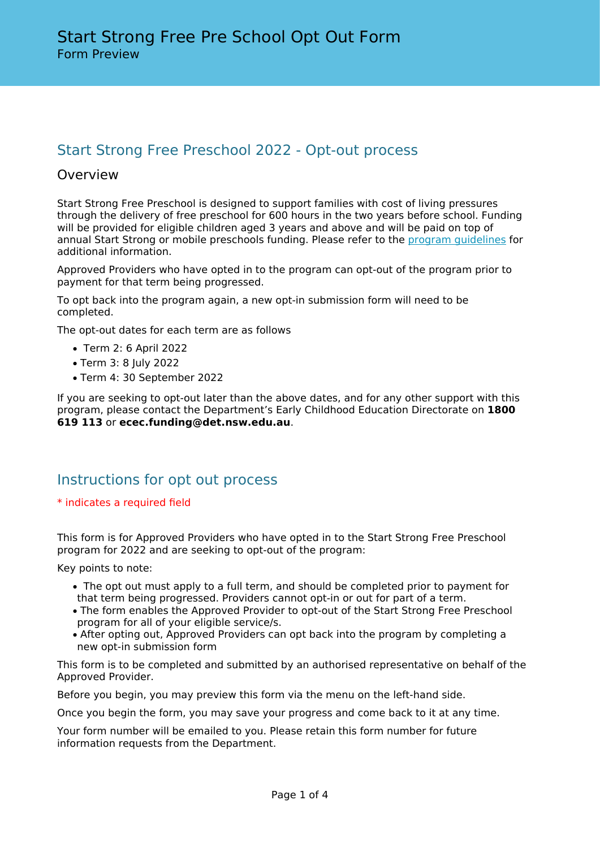# Start Strong Free Preschool 2022 - Opt-out process

## Overview

Start Strong Free Preschool is designed to support families with cost of living pressures through the delivery of free preschool for 600 hours in the two years before school. Funding will be provided for eligible children aged 3 years and above and will be paid on top of annual Start Strong or mobile preschools funding. Please refer to the [program guidelines](https://education.nsw.gov.au/early-childhood-education/operating-an-early-childhood-education-service/grants-and-funded-programs/start-strong-free-preschool) for additional information.

Approved Providers who have opted in to the program can opt-out of the program prior to payment for that term being progressed.

To opt back into the program again, a new opt-in submission form will need to be completed.

The opt-out dates for each term are as follows

- Term 2: 6 April 2022
- Term 3: 8 July 2022
- Term 4: 30 September 2022

If you are seeking to opt-out later than the above dates, and for any other support with this program, please contact the Department's Early Childhood Education Directorate on **1800 619 113** or **ecec.funding@det.nsw.edu.au**.

# Instructions for opt out process

#### \* indicates a required field

This form is for Approved Providers who have opted in to the Start Strong Free Preschool program for 2022 and are seeking to opt-out of the program:

Key points to note:

- The opt out must apply to a full term, and should be completed prior to payment for that term being progressed. Providers cannot opt-in or out for part of a term.
- The form enables the Approved Provider to opt-out of the Start Strong Free Preschool program for all of your eligible service/s.
- After opting out, Approved Providers can opt back into the program by completing a new opt-in submission form

This form is to be completed and submitted by an authorised representative on behalf of the Approved Provider.

Before you begin, you may preview this form via the menu on the left-hand side.

Once you begin the form, you may save your progress and come back to it at any time.

Your form number will be emailed to you. Please retain this form number for future information requests from the Department.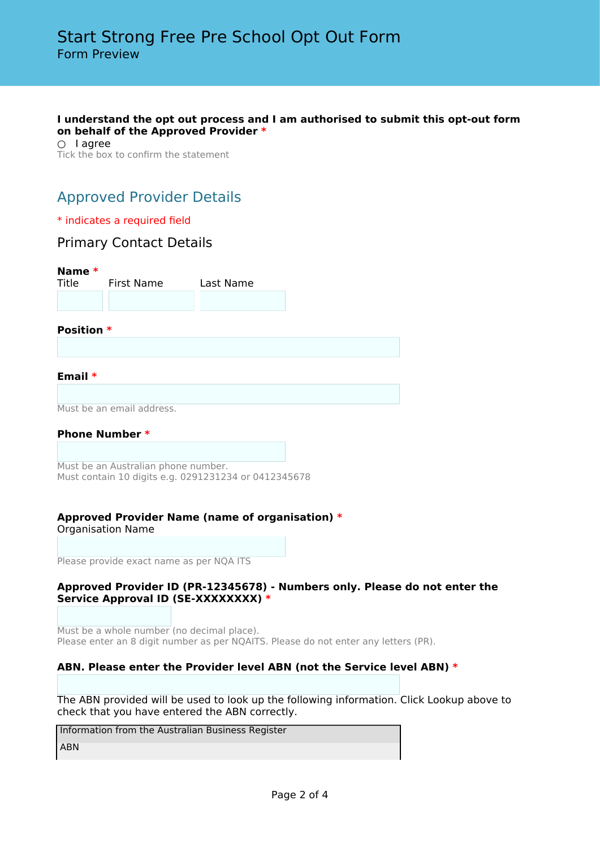#### **I understand the opt out process and I am authorised to submit this opt-out form on behalf of the Approved Provider \***

○ lagree Tick the box to confirm the statement

# Approved Provider Details

### \* indicates a required field

## Primary Contact Details

**Name \*** First Name Last Name **Position \* Email \*** Must be an email address. **Phone Number \***

Must be an Australian phone number. Must contain 10 digits e.g. 0291231234 or 0412345678

## **Approved Provider Name (name of organisation) \***

Organisation Name

Please provide exact name as per NQA ITS

### **Approved Provider ID (PR-12345678) - Numbers only. Please do not enter the Service Approval ID (SE-XXXXXXXX) \***

Must be a whole number (no decimal place). Please enter an 8 digit number as per NQAITS. Please do not enter any letters (PR).

## **ABN. Please enter the Provider level ABN (not the Service level ABN) \***

The ABN provided will be used to look up the following information. Click Lookup above to check that you have entered the ABN correctly.

Information from the Australian Business Register

ABN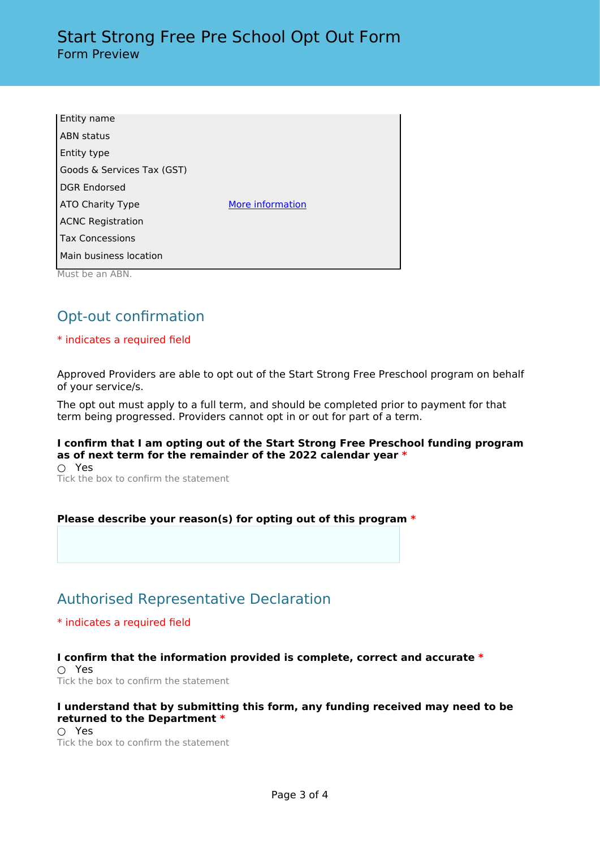| Entity name                |                  |
|----------------------------|------------------|
| <b>ABN</b> status          |                  |
| Entity type                |                  |
| Goods & Services Tax (GST) |                  |
| <b>DGR Endorsed</b>        |                  |
| ATO Charity Type           | More information |
| <b>ACNC Registration</b>   |                  |
| <b>Tax Concessions</b>     |                  |
| Main business location     |                  |
| Must be an ABN.            |                  |

# Opt-out confirmation

## \* indicates a required field

Approved Providers are able to opt out of the Start Strong Free Preschool program on behalf of your service/s.

The opt out must apply to a full term, and should be completed prior to payment for that term being progressed. Providers cannot opt in or out for part of a term.

## **I confirm that I am opting out of the Start Strong Free Preschool funding program as of next term for the remainder of the 2022 calendar year \***

○ Yes Tick the box to confirm the statement

## **Please describe your reason(s) for opting out of this program \***

## Authorised Representative Declaration

\* indicates a required field

#### **I confirm that the information provided is complete, correct and accurate \*** ○ Yes

Tick the box to confirm the statement

## **I understand that by submitting this form, any funding received may need to be returned to the Department \***

○ Yes Tick the box to confirm the statement